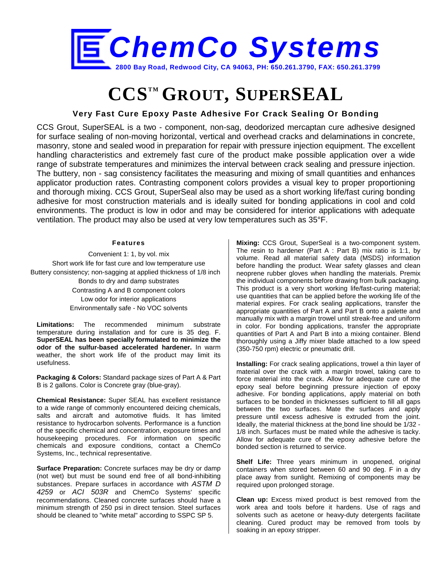

## **CCSTM GROUT, SUPERSEAL**

## **Very Fast Cure Epoxy Paste Adhesive For Crack Sealing Or Bonding**

CCS Grout, SuperSEAL is a two - component, non-sag, deodorized mercaptan cure adhesive designed for surface sealing of non-moving horizontal, vertical and overhead cracks and delaminations in concrete, masonry, stone and sealed wood in preparation for repair with pressure injection equipment. The excellent handling characteristics and extremely fast cure of the product make possible application over a wide range of substrate temperatures and minimizes the interval between crack sealing and pressure injection. The buttery, non - sag consistency facilitates the measuring and mixing of small quantities and enhances applicator production rates. Contrasting component colors provides a visual key to proper proportioning and thorough mixing. CCS Grout, SuperSeal also may be used as a short working life/fast curing bonding adhesive for most construction materials and is ideally suited for bonding applications in cool and cold environments. The product is low in odor and may be considered for interior applications with adequate ventilation. The product may also be used at very low temperatures such as 35°F.

## **Features**

Convenient 1: 1, by vol. mix Short work life for fast cure and low temperature use Buttery consistency; non-sagging at applied thickness of 1/8 inch Bonds to dry and damp substrates Contrasting A and B component colors Low odor for interior applications Environmentally safe - No VOC solvents

**Limitations:** The recommended minimum substrate temperature during installation and for cure is 35 deg. F. **SuperSEAL has been specially formulated to minimize the odor of the sulfur-based accelerated hardener.** In warm weather, the short work life of the product may limit its usefulness.

**Packaging & Colors:** Standard package sizes of Part A & Part B is 2 gallons. Color is Concrete gray (blue-gray).

**Chemical Resistance:** Super SEAL has excellent resistance to a wide range of commonly encountered deicing chemicals, salts and aircraft and automotive fluids. It has limited resistance to hydrocarbon solvents. Performance is a function of the specific chemical and concentration, exposure times and housekeeping procedures. For information on specific chemicals and exposure conditions, contact a ChemCo Systems, Inc., technical representative.

**Surface Preparation:** Concrete surfaces may be dry or damp (not wet) but must be sound end free of all bond-inhibiting substances. Prepare surfaces in accordance with *ASTM D 4259* or *ACI 503R* and ChemCo Systems' specific recommendations. Cleaned concrete surfaces should have a minimum strength of 250 psi in direct tension. Steel surfaces should be cleaned to "white metal" according to SSPC SP 5.

**Mixing:** CCS Grout, SuperSeal is a two-component system. The resin to hardener (Part A : Part B) mix ratio is 1:1, by volume. Read all material safety data (MSDS) information before handling the product. Wear safety glasses and clean neoprene rubber gloves when handling the materials. Premix the individual components before drawing from bulk packaging. This product is a very short working life/fast-curing material; use quantities that can be applied before the working life of the material expires. For crack sealing applications, transfer the appropriate quantities of Part A and Part B onto a palette and manually mix with a margin trowel until streak-free and uniform in color. For bonding applications, transfer the appropriate quantities of Part A and Part B into a mixing container. Blend thoroughly using a Jiffy mixer blade attached to a low speed (350-750 rpm) electric or pneumatic drill.

**Installing:** For crack sealing applications, trowel a thin layer of material over the crack with a margin trowel, taking care to force material into the crack. Allow for adequate cure of the epoxy seal before beginning pressure injection of epoxy adhesive. For bonding applications, apply material on both surfaces to be bonded in thicknesses sufficient to fill all gaps between the two surfaces. Mate the surfaces and apply pressure until excess adhesive is extruded from the joint. Ideally, the material thickness at the bond line should be 1/32 - 1/8 inch. Surfaces must be mated while the adhesive is tacky. Allow for adequate cure of the epoxy adhesive before the bonded section is returned to service.

**Shelf Life:** Three years minimum in unopened, original containers when stored between 60 and 90 deg. F in a dry place away from sunlight. Remixing of components may be required upon prolonged storage.

**Clean up:** Excess mixed product is best removed from the work area and tools before it hardens. Use of rags and solvents such as acetone or heavy-duty detergents facilitate cleaning. Cured product may be removed from tools by soaking in an epoxy stripper.